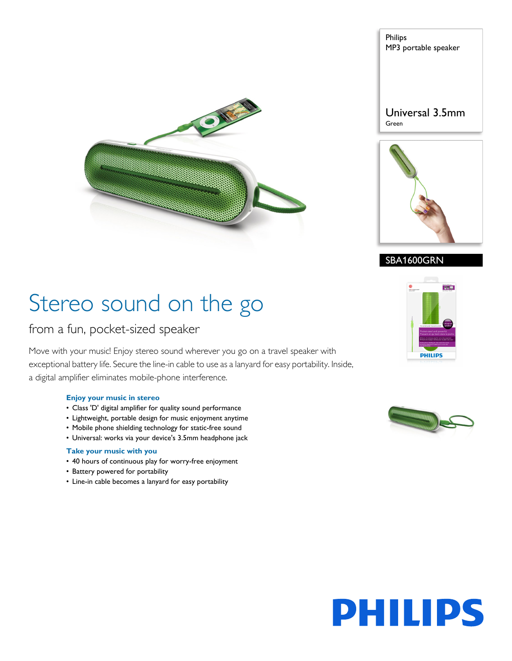



## SBA1600GRN

# Stereo sound on the go

## from a fun, pocket-sized speaker

Move with your music! Enjoy stereo sound wherever you go on a travel speaker with exceptional battery life. Secure the line-in cable to use as a lanyard for easy portability. Inside, a digital amplifier eliminates mobile-phone interference.

ONEW

#### **Enjoy your music in stereo**

- Class 'D' digital amplifier for quality sound performance
- Lightweight, portable design for music enjoyment anytime
- Mobile phone shielding technology for static-free sound
- Universal: works via your device's 3.5mm headphone jack

## **Take your music with you**

- 40 hours of continuous play for worry-free enjoyment
- Battery powered for portability
- Line-in cable becomes a lanyard for easy portability





# **PHILIPS**